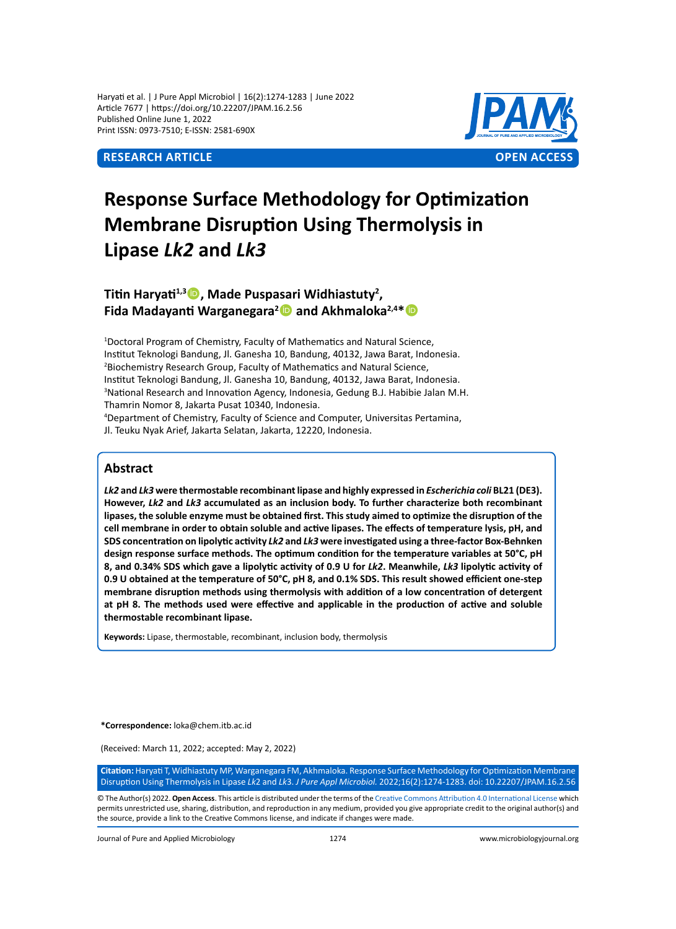Haryati et al. | J Pure Appl Microbiol | 16(2):1274-1283 | June 2022 Article 7677 | https://doi.org/10.22207/JPAM.16.2.56 Published Online June 1, 2022 Print ISSN: 0973-7510; E-ISSN: 2581-690X



# **Response Surface Methodology for Optimization Membrane Disruption Using Thermolysis in Lipase** *Lk2* **and** *Lk3*

# **Titin Haryati1,3, Made Puspasari Widhiastuty2 , Fida Madayanti Warganegara<sup>2</sup> and Akhmaloka2,4\***

<sup>1</sup>Doctoral Program of Chemistry, Faculty of Mathematics and Natural Science, Institut Teknologi Bandung, Jl. Ganesha 10, Bandung, 40132, Jawa Barat, Indonesia. 2 Biochemistry Research Group, Faculty of Mathematics and Natural Science, Institut Teknologi Bandung, Jl. Ganesha 10, Bandung, 40132, Jawa Barat, Indonesia. 3 National Research and Innovation Agency, Indonesia, Gedung B.J. Habibie Jalan M.H. Thamrin Nomor 8, Jakarta Pusat 10340, Indonesia.

4 Department of Chemistry, Faculty of Science and Computer, Universitas Pertamina, Jl. Teuku Nyak Arief, Jakarta Selatan, Jakarta, 12220, Indonesia.

# **Abstract**

*Lk2* **and** *Lk3* **were thermostable recombinant lipase and highly expressed in** *Escherichia coli* **BL21 (DE3). However,** *Lk2* **and** *Lk3* **accumulated as an inclusion body. To further characterize both recombinant lipases, the soluble enzyme must be obtained first. This study aimed to optimize the disruption of the cell membrane in order to obtain soluble and active lipases. The effects of temperature lysis, pH, and SDS concentration on lipolytic activity** *Lk2* **and** *Lk3* **were investigated using a three-factor Box-Behnken design response surface methods. The optimum condition for the temperature variables at 50°C, pH 8, and 0.34% SDS which gave a lipolytic activity of 0.9 U for** *Lk2***. Meanwhile,** *Lk3* **lipolytic activity of 0.9 U obtained at the temperature of 50°C, pH 8, and 0.1% SDS. This result showed efficient one-step membrane disruption methods using thermolysis with addition of a low concentration of detergent at pH 8. The methods used were effective and applicable in the production of active and soluble thermostable recombinant lipase.**

**Keywords:** Lipase, thermostable, recombinant, inclusion body, thermolysis

**\*Correspondence:** loka@chem.itb.ac.id

(Received: March 11, 2022; accepted: May 2, 2022)

**Citation:** Haryati T, Widhiastuty MP, Warganegara FM, Akhmaloka. Response Surface Methodology for Optimization Membrane Disruption Using Thermolysis in Lipase *Lk*2 and *Lk*3. *J Pure Appl Microbiol.* 2022;16(2):1274-1283. doi: 10.22207/JPAM.16.2.56

© The Author(s) 2022. **Open Access**. This article is distributed under the terms of the [Creative Commons Attribution 4.0 International License](https://creativecommons.org/licenses/by/4.0/) which permits unrestricted use, sharing, distribution, and reproduction in any medium, provided you give appropriate credit to the original author(s) and the source, provide a link to the Creative Commons license, and indicate if changes were made.

Journal of Pure and Applied Microbiology 1274 www.microbiologyjournal.org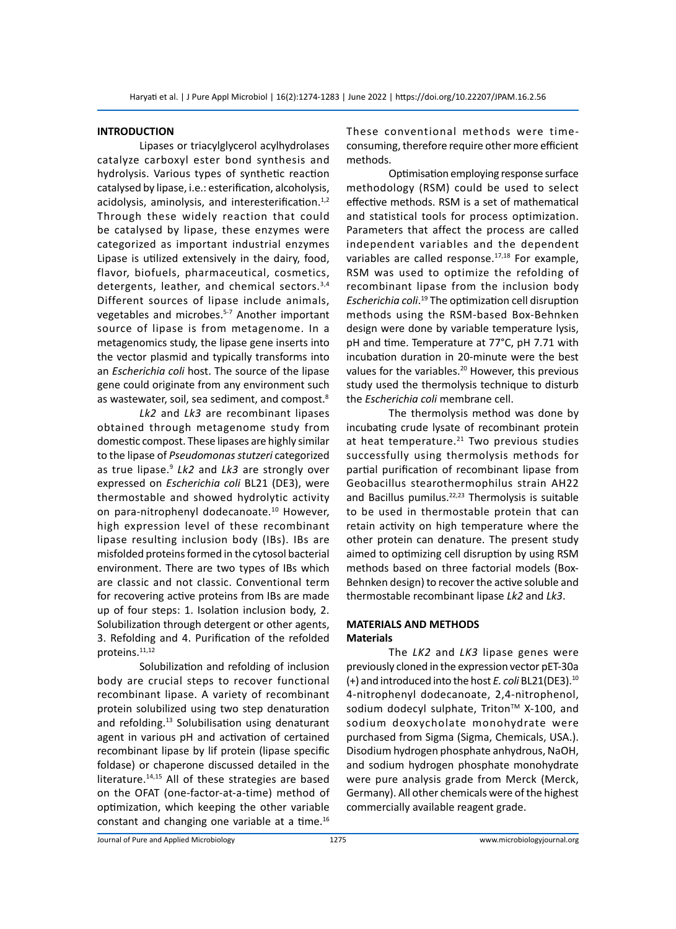### **INTRODUCTION**

Lipases or triacylglycerol acylhydrolases catalyze carboxyl ester bond synthesis and hydrolysis. Various types of synthetic reaction catalysed by lipase, i.e.: esterification, alcoholysis, acidolysis, aminolysis, and interesterification. $1,2$ Through these widely reaction that could be catalysed by lipase, these enzymes were categorized as important industrial enzymes Lipase is utilized extensively in the dairy, food, flavor, biofuels, pharmaceutical, cosmetics, detergents, leather, and chemical sectors.3,4 Different sources of lipase include animals, vegetables and microbes.<sup>5-7</sup> Another important source of lipase is from metagenome. In a metagenomics study, the lipase gene inserts into the vector plasmid and typically transforms into an *Escherichia coli* host. The source of the lipase gene could originate from any environment such as wastewater, soil, sea sediment, and compost.<sup>8</sup>

*Lk2* and *Lk3* are recombinant lipases obtained through metagenome study from domestic compost. These lipases are highly similar to the lipase of *Pseudomonas stutzeri* categorized as true lipase.9 *Lk2* and *Lk3* are strongly over expressed on *Escherichia coli* BL21 (DE3), were thermostable and showed hydrolytic activity on para-nitrophenyl dodecanoate.10 However, high expression level of these recombinant lipase resulting inclusion body (IBs). IBs are misfolded proteins formed in the cytosol bacterial environment. There are two types of IBs which are classic and not classic. Conventional term for recovering active proteins from IBs are made up of four steps: 1. Isolation inclusion body, 2. Solubilization through detergent or other agents, 3. Refolding and 4. Purification of the refolded proteins.<sup>11,12</sup>

Solubilization and refolding of inclusion body are crucial steps to recover functional recombinant lipase. A variety of recombinant protein solubilized using two step denaturation and refolding.<sup>13</sup> Solubilisation using denaturant agent in various pH and activation of certained recombinant lipase by lif protein (lipase specific foldase) or chaperone discussed detailed in the literature.<sup>14,15</sup> All of these strategies are based on the OFAT (one-factor-at-a-time) method of optimization, which keeping the other variable constant and changing one variable at a time.<sup>16</sup> These conventional methods were timeconsuming, therefore require other more efficient methods.

Optimisation employing response surface methodology (RSM) could be used to select effective methods. RSM is a set of mathematical and statistical tools for process optimization. Parameters that affect the process are called independent variables and the dependent variables are called response.<sup>17,18</sup> For example, RSM was used to optimize the refolding of recombinant lipase from the inclusion body *Escherichia coli*. 19 The optimization cell disruption methods using the RSM-based Box-Behnken design were done by variable temperature lysis, pH and time. Temperature at 77°C, pH 7.71 with incubation duration in 20-minute were the best values for the variables.<sup>20</sup> However, this previous study used the thermolysis technique to disturb the *Escherichia coli* membrane cell.

The thermolysis method was done by incubating crude lysate of recombinant protein at heat temperature. $21$  Two previous studies successfully using thermolysis methods for partial purification of recombinant lipase from Geobacillus stearothermophilus strain AH22 and Bacillus pumilus.<sup>22,23</sup> Thermolysis is suitable to be used in thermostable protein that can retain activity on high temperature where the other protein can denature. The present study aimed to optimizing cell disruption by using RSM methods based on three factorial models (Box-Behnken design) to recover the active soluble and thermostable recombinant lipase *Lk2* and *Lk3*.

# **MATERIALS AND METHODS Materials**

The *LK2* and *LK3* lipase genes were previously cloned in the expression vector pET-30a (+) and introduced into the host *E. coli* BL21(DE3).<sup>10</sup> 4-nitrophenyl dodecanoate, 2,4-nitrophenol, sodium dodecyl sulphate, Triton™ X-100, and sodium deoxycholate monohydrate were purchased from Sigma (Sigma, Chemicals, USA.). Disodium hydrogen phosphate anhydrous, NaOH, and sodium hydrogen phosphate monohydrate were pure analysis grade from Merck (Merck, Germany). All other chemicals were of the highest commercially available reagent grade.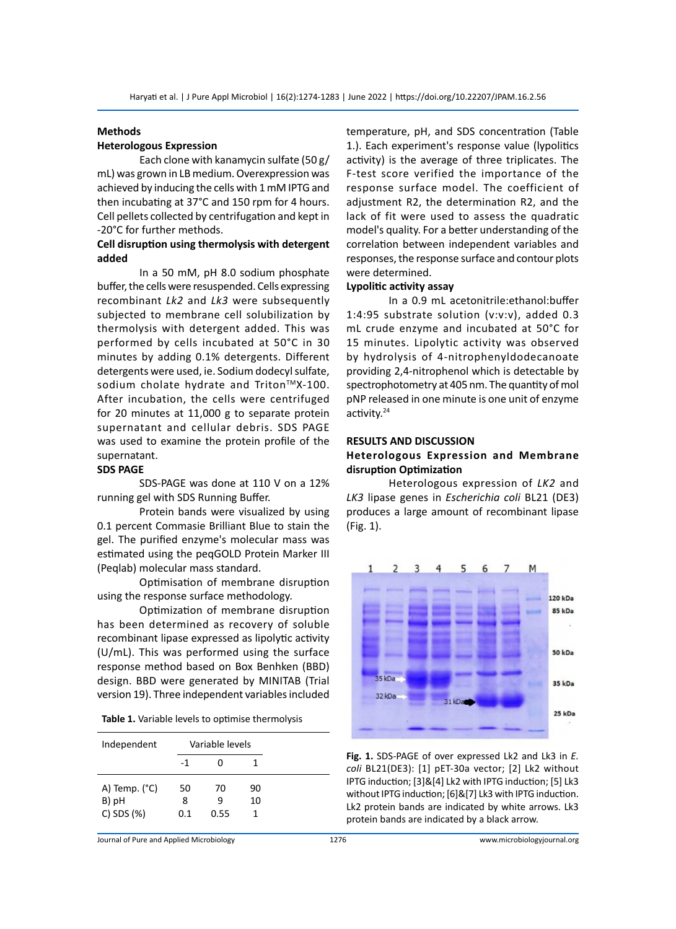# **Methods**

# **Heterologous Expression**

Each clone with kanamycin sulfate (50 g/ mL) was grown in LB medium. Overexpression was achieved by inducing the cells with 1 mM IPTG and then incubating at 37°C and 150 rpm for 4 hours. Cell pellets collected by centrifugation and kept in -20°C for further methods.

# **Cell disruption using thermolysis with detergent added**

In a 50 mM, pH 8.0 sodium phosphate buffer, the cells were resuspended. Cells expressing recombinant *Lk2* and *Lk3* were subsequently subjected to membrane cell solubilization by thermolysis with detergent added. This was performed by cells incubated at 50°C in 30 minutes by adding 0.1% detergents. Different detergents were used, ie. Sodium dodecyl sulfate, sodium cholate hydrate and Triton™X-100. After incubation, the cells were centrifuged for 20 minutes at 11,000 g to separate protein supernatant and cellular debris. SDS PAGE was used to examine the protein profile of the supernatant.

#### **SDS PAGE**

SDS-PAGE was done at 110 V on a 12% running gel with SDS Running Buffer.

Protein bands were visualized by using 0.1 percent Commasie Brilliant Blue to stain the gel. The purified enzyme's molecular mass was estimated using the peqGOLD Protein Marker III (Peqlab) molecular mass standard.

Optimisation of membrane disruption using the response surface methodology.

Optimization of membrane disruption has been determined as recovery of soluble recombinant lipase expressed as lipolytic activity (U/mL). This was performed using the surface response method based on Box Benhken (BBD) design. BBD were generated by MINITAB (Trial version 19). Three independent variables included

|  |  |  |  | Table 1. Variable levels to optimise thermolysis |
|--|--|--|--|--------------------------------------------------|
|--|--|--|--|--------------------------------------------------|

| Independent            |     | Variable levels |    |
|------------------------|-----|-----------------|----|
|                        | -1  |                 |    |
| A) Temp. $(^{\circ}C)$ | 50  | 70              | 90 |
| B) pH                  | 8   | q               | 10 |
| $C)$ SDS $(%)$         | 0.1 | 0.55            |    |

temperature, pH, and SDS concentration (Table 1.). Each experiment's response value (lypolitics activity) is the average of three triplicates. The F-test score verified the importance of the response surface model. The coefficient of adjustment R2, the determination R2, and the lack of fit were used to assess the quadratic model's quality. For a better understanding of the correlation between independent variables and responses, the response surface and contour plots were determined.

#### **Lypolitic activity assay**

In a 0.9 mL acetonitrile:ethanol:buffer 1:4:95 substrate solution (v:v:v), added 0.3 mL crude enzyme and incubated at 50°C for 15 minutes. Lipolytic activity was observed by hydrolysis of 4-nitrophenyldodecanoate providing 2,4-nitrophenol which is detectable by spectrophotometry at 405 nm. The quantity of mol pNP released in one minute is one unit of enzyme activity.<sup>24</sup>

### **RESULTS AND DISCUSSION**

# **Heterologous Expression and Membrane disruption Optimization**

Heterologous expression of *LK2* and *LK3* lipase genes in *Escherichia coli* BL21 (DE3) produces a large amount of recombinant lipase (Fig. 1).



**Fig. 1.** SDS-PAGE of over expressed Lk2 and Lk3 in *E. coli* BL21(DE3): [1] pET-30a vector; [2] Lk2 without IPTG induction; [3]&[4] Lk2 with IPTG induction; [5] Lk3 without IPTG induction; [6]&[7] Lk3 with IPTG induction. Lk2 protein bands are indicated by white arrows. Lk3 protein bands are indicated by a black arrow.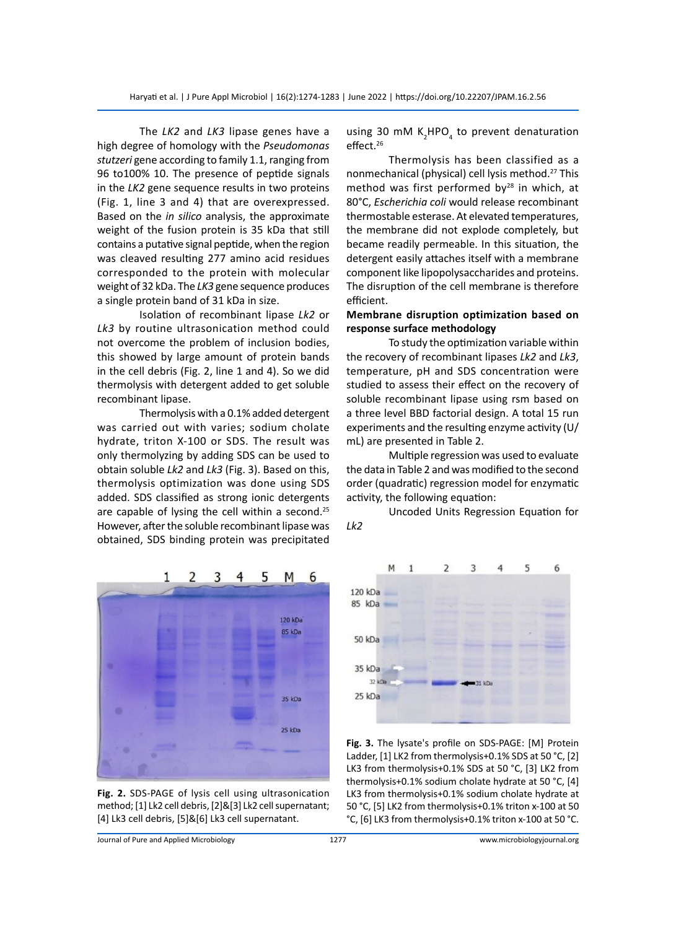The *LK2* and *LK3* lipase genes have a high degree of homology with the *Pseudomonas stutzeri* gene according to family 1.1, ranging from 96 to100% 10. The presence of peptide signals in the *LK2* gene sequence results in two proteins (Fig. 1, line 3 and 4) that are overexpressed. Based on the *in silico* analysis, the approximate weight of the fusion protein is 35 kDa that still contains a putative signal peptide, when the region was cleaved resulting 277 amino acid residues corresponded to the protein with molecular weight of 32 kDa. The *LK3* gene sequence produces a single protein band of 31 kDa in size.

Isolation of recombinant lipase *Lk2* or *Lk3* by routine ultrasonication method could not overcome the problem of inclusion bodies, this showed by large amount of protein bands in the cell debris (Fig. 2, line 1 and 4). So we did thermolysis with detergent added to get soluble recombinant lipase.

Thermolysis with a 0.1% added detergent was carried out with varies; sodium cholate hydrate, triton X-100 or SDS. The result was only thermolyzing by adding SDS can be used to obtain soluble *Lk2* and *Lk3* (Fig. 3). Based on this, thermolysis optimization was done using SDS added. SDS classified as strong ionic detergents are capable of lysing the cell within a second.<sup>25</sup> However, after the soluble recombinant lipase was obtained, SDS binding protein was precipitated

using 30 mM  $K_2$ HPO<sub>4</sub> to prevent denaturation effect.<sup>26</sup>

Thermolysis has been classified as a nonmechanical (physical) cell lysis method.<sup>27</sup> This method was first performed by $28$  in which, at 80°C, *Escherichia coli* would release recombinant thermostable esterase. At elevated temperatures, the membrane did not explode completely, but became readily permeable. In this situation, the detergent easily attaches itself with a membrane component like lipopolysaccharides and proteins. The disruption of the cell membrane is therefore efficient.

# **Membrane disruption optimization based on response surface methodology**

To study the optimization variable within the recovery of recombinant lipases *Lk2* and *Lk3*, temperature, pH and SDS concentration were studied to assess their effect on the recovery of soluble recombinant lipase using rsm based on a three level BBD factorial design. A total 15 run experiments and the resulting enzyme activity (U/ mL) are presented in Table 2.

Multiple regression was used to evaluate the data in Table 2 and was modified to the second order (quadratic) regression model for enzymatic activity, the following equation:

Uncoded Units Regression Equation for *Lk2*



**Fig. 2.** SDS-PAGE of lysis cell using ultrasonication method; [1] Lk2 cell debris, [2]&[3] Lk2 cell supernatant; [4] Lk3 cell debris, [5]&[6] Lk3 cell supernatant.



**Fig. 3.** The lysate's profile on SDS-PAGE: [M] Protein Ladder, [1] LK2 from thermolysis+0.1% SDS at 50 °C, [2] LK3 from thermolysis+0.1% SDS at 50 °C, [3] LK2 from thermolysis+0.1% sodium cholate hydrate at 50 °C, [4] LK3 from thermolysis+0.1% sodium cholate hydrate at 50 °C, [5] LK2 from thermolysis+0.1% triton x-100 at 50 °C, [6] LK3 from thermolysis+0.1% triton x-100 at 50 °C.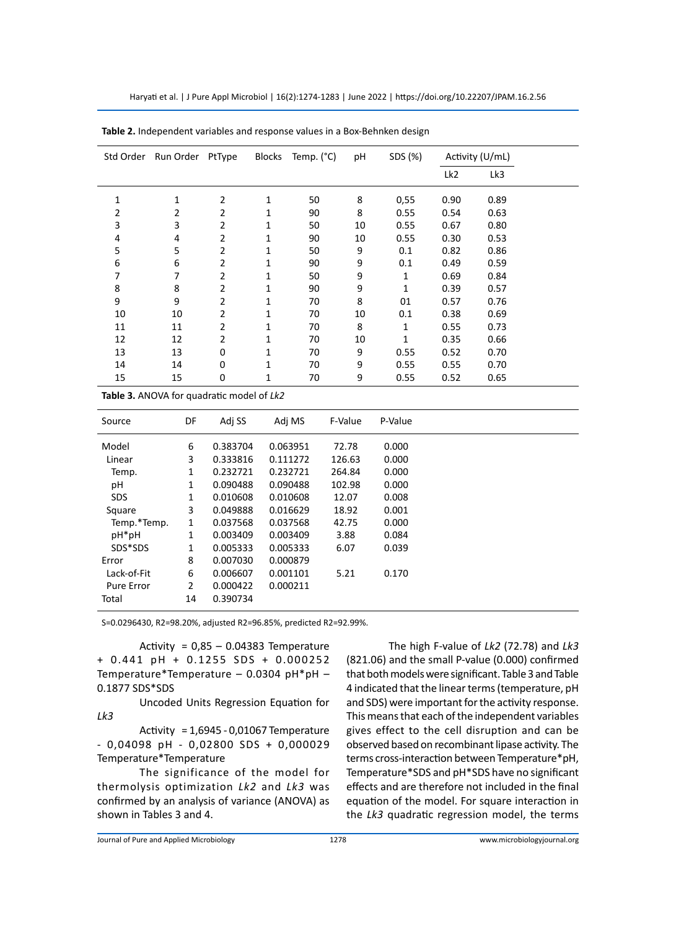| Std Order | Run Order PtType |                | <b>Blocks</b> | Temp. (°C) | pH | SDS (%)      |                 | Activity (U/mL) |  |
|-----------|------------------|----------------|---------------|------------|----|--------------|-----------------|-----------------|--|
|           |                  |                |               |            |    |              | Lk <sub>2</sub> | Lk3             |  |
| 1         | 1                | 2              | 1             | 50         | 8  | 0,55         | 0.90            | 0.89            |  |
| 2         | 2                | 2              | 1             | 90         | 8  | 0.55         | 0.54            | 0.63            |  |
| 3         | 3                | 2              | 1             | 50         | 10 | 0.55         | 0.67            | 0.80            |  |
| 4         | 4                | 2              | 1             | 90         | 10 | 0.55         | 0.30            | 0.53            |  |
| 5         | 5                | 2              | 1             | 50         | 9  | 0.1          | 0.82            | 0.86            |  |
| 6         | 6                | 2              | 1             | 90         | 9  | 0.1          | 0.49            | 0.59            |  |
| 7         | 7                | 2              | 1             | 50         | 9  | $\mathbf{1}$ | 0.69            | 0.84            |  |
| 8         | 8                | $\overline{2}$ | 1             | 90         | 9  | $\mathbf{1}$ | 0.39            | 0.57            |  |
| 9         | 9                | 2              | 1             | 70         | 8  | 01           | 0.57            | 0.76            |  |
| 10        | 10               | 2              | 1             | 70         | 10 | 0.1          | 0.38            | 0.69            |  |
| 11        | 11               | 2              | 1             | 70         | 8  | $\mathbf{1}$ | 0.55            | 0.73            |  |
| 12        | 12               | $\overline{2}$ | 1             | 70         | 10 | $\mathbf{1}$ | 0.35            | 0.66            |  |
| 13        | 13               | 0              | 1             | 70         | 9  | 0.55         | 0.52            | 0.70            |  |
| 14        | 14               | 0              | 1             | 70         | 9  | 0.55         | 0.55            | 0.70            |  |
| 15        | 15               | 0              | 1             | 70         | 9  | 0.55         | 0.52            | 0.65            |  |

| Table 2. Independent variables and response values in a Box-Behnken design |  |  |  |
|----------------------------------------------------------------------------|--|--|--|
|----------------------------------------------------------------------------|--|--|--|

**Table 3.** ANOVA for quadratic model of *Lk2*

| Source            | DF             | Adi SS   | Adj MS   | F-Value | P-Value |
|-------------------|----------------|----------|----------|---------|---------|
| Model             | 6              | 0.383704 | 0.063951 | 72.78   | 0.000   |
| Linear            | 3              | 0.333816 | 0.111272 | 126.63  | 0.000   |
| Temp.             | 1              | 0.232721 | 0.232721 | 264.84  | 0.000   |
| рH                | 1              | 0.090488 | 0.090488 | 102.98  | 0.000   |
| <b>SDS</b>        | 1              | 0.010608 | 0.010608 | 12.07   | 0.008   |
| Square            | 3              | 0.049888 | 0.016629 | 18.92   | 0.001   |
| Temp.*Temp.       | 1              | 0.037568 | 0.037568 | 42.75   | 0.000   |
| pH*pH             | 1              | 0.003409 | 0.003409 | 3.88    | 0.084   |
| SDS*SDS           | 1              | 0.005333 | 0.005333 | 6.07    | 0.039   |
| Error             | 8              | 0.007030 | 0.000879 |         |         |
| Lack-of-Fit       | 6              | 0.006607 | 0.001101 | 5.21    | 0.170   |
| <b>Pure Error</b> | $\overline{2}$ | 0.000422 | 0.000211 |         |         |
| Total             | 14             | 0.390734 |          |         |         |

S=0.0296430, R2=98.20%, adjusted R2=96.85%, predicted R2=92.99%.

Activity =  $0.85 - 0.04383$  Temperature + 0.441 pH + 0.1255 SDS + 0.000252 Temperature\*Temperature – 0.0304 pH\*pH – 0.1877 SDS\*SDS

Uncoded Units Regression Equation for *Lk3*

Activity = 1,6945 - 0,01067 Temperature - 0,04098 pH - 0,02800 SDS + 0,000029 Temperature\*Temperature

The significance of the model for thermolysis optimization *Lk2* and *Lk3* was confirmed by an analysis of variance (ANOVA) as shown in Tables 3 and 4.

The high F-value of *Lk2* (72.78) and *Lk3* (821.06) and the small P-value (0.000) confirmed that both models were significant. Table 3 and Table 4 indicated that the linear terms (temperature, pH and SDS) were important for the activity response. This means that each of the independent variables gives effect to the cell disruption and can be observed based on recombinant lipase activity. The terms cross-interaction between Temperature\*pH, Temperature\*SDS and pH\*SDS have no significant effects and are therefore not included in the final equation of the model. For square interaction in the *Lk3* quadratic regression model, the terms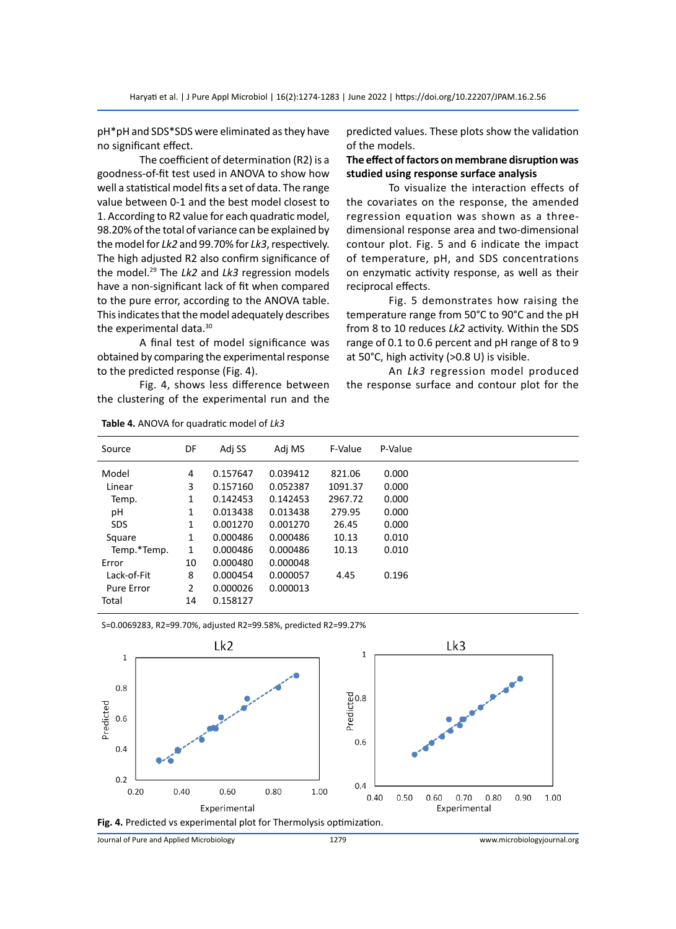pH\*pH and SDS\*SDS were eliminated as they have no significant effect.

The coefficient of determination (R2) is a goodness-of-fit test used in ANOVA to show how well a statistical model fits a set of data. The range value between 0-1 and the best model closest to 1. According to R2 value for each quadratic model, 98.20% of the total of variance can be explained by the model for *Lk2* and 99.70% for *Lk3*, respectively. The high adjusted R2 also confirm significance of the model.29 The *Lk2* and *Lk3* regression models have a non-significant lack of fit when compared to the pure error, according to the ANOVA table. This indicates that the model adequately describes the experimental data.<sup>30</sup>

A final test of model significance was obtained by comparing the experimental response to the predicted response (Fig. 4).

Fig. 4, shows less difference between the clustering of the experimental run and the predicted values. These plots show the validation of the models.

# **The effect of factors on membrane disruption was studied using response surface analysis**

To visualize the interaction effects of the covariates on the response, the amended regression equation was shown as a threedimensional response area and two-dimensional contour plot. Fig. 5 and 6 indicate the impact of temperature, pH, and SDS concentrations on enzymatic activity response, as well as their reciprocal effects.

Fig. 5 demonstrates how raising the temperature range from 50°C to 90°C and the pH from 8 to 10 reduces *Lk2* activity. Within the SDS range of 0.1 to 0.6 percent and pH range of 8 to 9 at 50°C, high activity (>0.8 U) is visible.

An *Lk3* regression model produced the response surface and contour plot for the

| Source      | DF | Adi SS   | Adj MS   | F-Value | P-Value |
|-------------|----|----------|----------|---------|---------|
| Model       | 4  | 0.157647 | 0.039412 | 821.06  | 0.000   |
| Linear      | 3  | 0.157160 | 0.052387 | 1091.37 | 0.000   |
| Temp.       | 1  | 0.142453 | 0.142453 | 2967.72 | 0.000   |
| рH          | 1  | 0.013438 | 0.013438 | 279.95  | 0.000   |
| <b>SDS</b>  | 1  | 0.001270 | 0.001270 | 26.45   | 0.000   |
| Square      | 1  | 0.000486 | 0.000486 | 10.13   | 0.010   |
| Temp.*Temp. | 1  | 0.000486 | 0.000486 | 10.13   | 0.010   |
| Error       | 10 | 0.000480 | 0.000048 |         |         |
| Lack-of-Fit | 8  | 0.000454 | 0.000057 | 4.45    | 0.196   |
| Pure Error  | 2  | 0.000026 | 0.000013 |         |         |
| Total       | 14 | 0.158127 |          |         |         |
|             |    |          |          |         |         |

**Table 4.** ANOVA for quadratic model of *Lk3*

S=0.0069283, R2=99.70%, adjusted R2=99.58%, predicted R2=99.27%



Journal of Pure and Applied Microbiology 1279 www.microbiologyjournal.org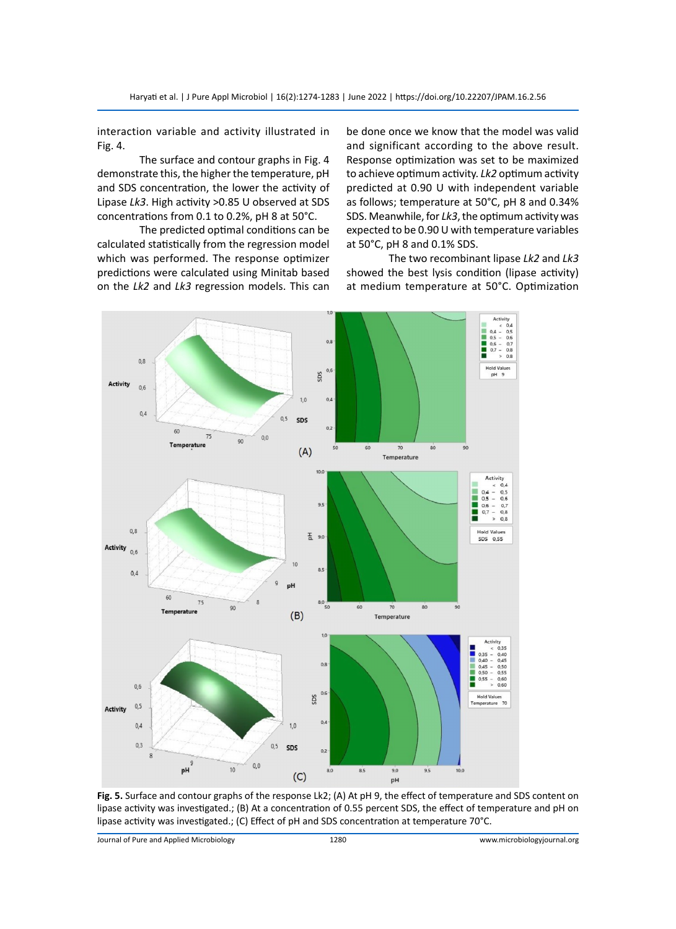interaction variable and activity illustrated in Fig. 4.

The surface and contour graphs in Fig. 4 demonstrate this, the higher the temperature, pH and SDS concentration, the lower the activity of Lipase *Lk3*. High activity >0.85 U observed at SDS concentrations from 0.1 to 0.2%, pH 8 at 50°C.

The predicted optimal conditions can be calculated statistically from the regression model which was performed. The response optimizer predictions were calculated using Minitab based on the *Lk2* and *Lk3* regression models. This can be done once we know that the model was valid and significant according to the above result. Response optimization was set to be maximized to achieve optimum activity. *Lk2* optimum activity predicted at 0.90 U with independent variable as follows; temperature at 50°C, pH 8 and 0.34% SDS. Meanwhile, for *Lk3*, the optimum activity was expected to be 0.90 U with temperature variables at 50°C, pH 8 and 0.1% SDS.

The two recombinant lipase *Lk2* and *Lk3* showed the best lysis condition (lipase activity) at medium temperature at 50°C. Optimization



**Fig. 5.** Surface and contour graphs of the response Lk2; (A) At pH 9, the effect of temperature and SDS content on lipase activity was investigated.; (B) At a concentration of 0.55 percent SDS, the effect of temperature and pH on lipase activity was investigated.; (C) Effect of pH and SDS concentration at temperature 70°C.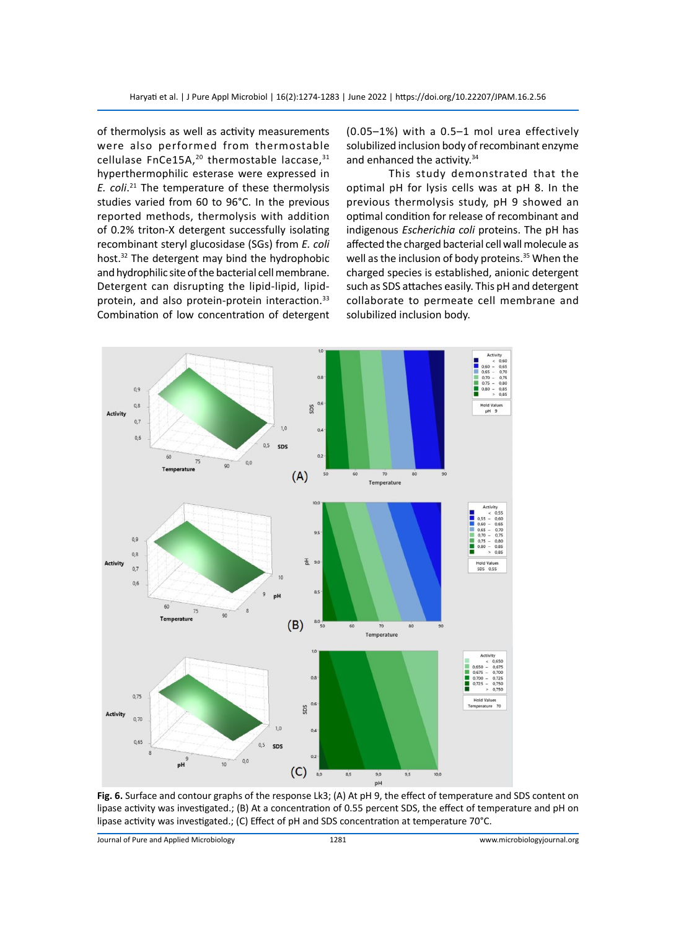of thermolysis as well as activity measurements were also performed from thermostable cellulase FnCe15A, $^{20}$  thermostable laccase, $^{31}$ hyperthermophilic esterase were expressed in *E. coli*. <sup>21</sup> The temperature of these thermolysis studies varied from 60 to 96°C. In the previous reported methods, thermolysis with addition of 0.2% triton-X detergent successfully isolating recombinant steryl glucosidase (SGs) from *E. coli* host.<sup>32</sup> The detergent may bind the hydrophobic and hydrophilic site of the bacterial cell membrane. Detergent can disrupting the lipid-lipid, lipidprotein, and also protein-protein interaction.<sup>33</sup> Combination of low concentration of detergent

(0.05–1%) with a 0.5–1 mol urea effectively solubilized inclusion body of recombinant enzyme and enhanced the activity.<sup>34</sup>

This study demonstrated that the optimal pH for lysis cells was at pH 8. In the previous thermolysis study, pH 9 showed an optimal condition for release of recombinant and indigenous *Escherichia coli* proteins. The pH has affected the charged bacterial cell wall molecule as well as the inclusion of body proteins.<sup>35</sup> When the charged species is established, anionic detergent such as SDS attaches easily. This pH and detergent collaborate to permeate cell membrane and solubilized inclusion body.



**Fig. 6.** Surface and contour graphs of the response Lk3; (A) At pH 9, the effect of temperature and SDS content on lipase activity was investigated.; (B) At a concentration of 0.55 percent SDS, the effect of temperature and pH on lipase activity was investigated.; (C) Effect of pH and SDS concentration at temperature 70°C.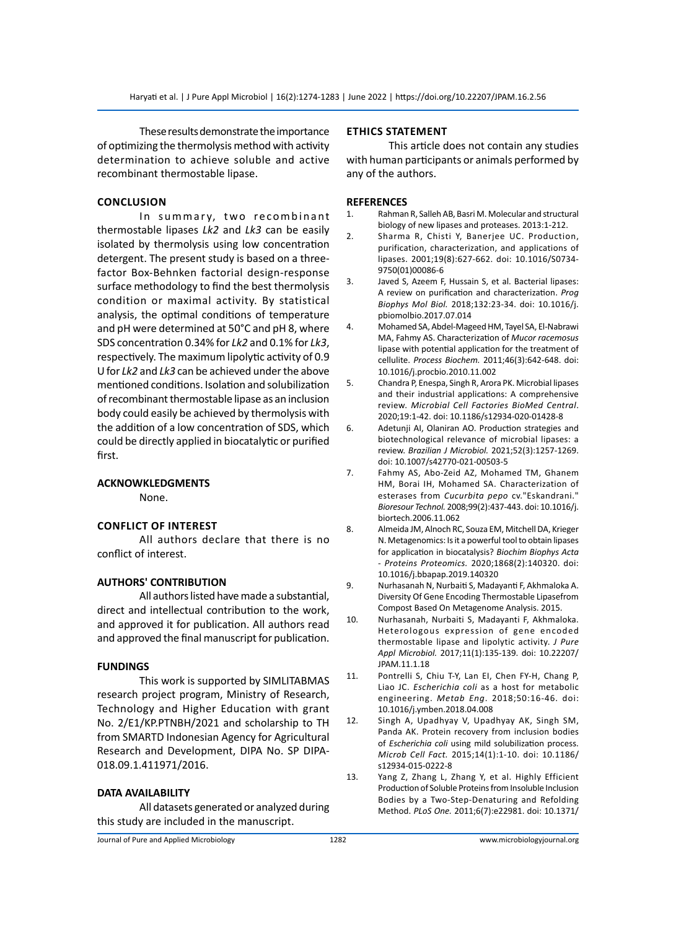These results demonstrate the importance of optimizing the thermolysis method with activity determination to achieve soluble and active recombinant thermostable lipase.

# **Conclusion**

In summary, two recombinant thermostable lipases *Lk2* and *Lk3* can be easily isolated by thermolysis using low concentration detergent. The present study is based on a threefactor Box-Behnken factorial design-response surface methodology to find the best thermolysis condition or maximal activity. By statistical analysis, the optimal conditions of temperature and pH were determined at 50°C and pH 8, where SDS concentration 0.34% for *Lk2* and 0.1% for *Lk3*, respectively. The maximum lipolytic activity of 0.9 U for *Lk2* and *Lk3* can be achieved under the above mentioned conditions. Isolation and solubilization of recombinant thermostable lipase as an inclusion body could easily be achieved by thermolysis with the addition of a low concentration of SDS, which could be directly applied in biocatalytic or purified first.

# **ACKNOWKLEDGMENTS**

None.

# **Conflict of Interest**

All authors declare that there is no conflict of interest.

# **AUTHORS' CONTRIBUTION**

All authors listed have made a substantial, direct and intellectual contribution to the work, and approved it for publication. All authors read and approved the final manuscript for publication.

# **FUNDINGS**

This work is supported by SIMLITABMAS research project program, Ministry of Research, Technology and Higher Education with grant No. 2/E1/KP.PTNBH/2021 and scholarship to TH from SMARTD Indonesian Agency for Agricultural Research and Development, DIPA No. SP DIPA-018.09.1.411971/2016.

# **DATA AVAILABILITY**

All datasets generated or analyzed during this study are included in the manuscript.

# **Ethics Statement**

This article does not contain any studies with human participants or animals performed by any of the authors.

# **REFERENCES**

- 1. Rahman R, Salleh AB, Basri M. Molecular and structural biology of new lipases and proteases. 2013:1-212.
- 2. Sharma R, Chisti Y, Banerjee UC. Production, purification, characterization, and applications of lipases. 2001;19(8):627-662. doi: 10.1016/S0734- 9750(01)00086-6
- 3. Javed S, Azeem F, Hussain S, et al. Bacterial lipases: A review on purification and characterization. *Prog Biophys Mol Biol.* 2018;132:23-34. doi: 10.1016/j. pbiomolbio.2017.07.014
- 4. Mohamed SA, Abdel-Mageed HM, Tayel SA, El-Nabrawi MA, Fahmy AS. Characterization of *Mucor racemosus*  lipase with potential application for the treatment of cellulite. *Process Biochem.* 2011;46(3):642-648. doi: 10.1016/j.procbio.2010.11.002
- 5. Chandra P, Enespa, Singh R, Arora PK. Microbial lipases and their industrial applications: A comprehensive review. *Microbial Cell Factories BioMed Central*. 2020;19:1-42. doi: 10.1186/s12934-020-01428-8
- 6. Adetunji AI, Olaniran AO. Production strategies and biotechnological relevance of microbial lipases: a review. *Brazilian J Microbiol.* 2021;52(3):1257-1269. doi: 10.1007/s42770-021-00503-5
- 7. Fahmy AS, Abo-Zeid AZ, Mohamed TM, Ghanem HM, Borai IH, Mohamed SA. Characterization of esterases from *Cucurbita pepo* cv."Eskandrani." *Bioresour Technol.* 2008;99(2):437-443. doi: 10.1016/j. biortech.2006.11.062
- 8. Almeida JM, Alnoch RC, Souza EM, Mitchell DA, Krieger N. Metagenomics: Is it a powerful tool to obtain lipases for application in biocatalysis? *Biochim Biophys Acta - Proteins Proteomics.* 2020;1868(2):140320. doi: 10.1016/j.bbapap.2019.140320
- 9. Nurhasanah N, Nurbaiti S, Madayanti F, Akhmaloka A. Diversity Of Gene Encoding Thermostable Lipasefrom Compost Based On Metagenome Analysis. 2015.
- 10. Nurhasanah, Nurbaiti S, Madayanti F, Akhmaloka. Heterologous expression of gene encoded thermostable lipase and lipolytic activity. *J Pure Appl Microbiol.* 2017;11(1):135-139. doi: 10.22207/ JPAM.11.1.18
- 11. Pontrelli S, Chiu T-Y, Lan EI, Chen FY-H, Chang P, Liao JC. *Escherichia coli* as a host for metabolic engineering. *Metab Eng*. 2018;50:16-46. doi: 10.1016/j.ymben.2018.04.008
- 12. Singh A, Upadhyay V, Upadhyay AK, Singh SM, Panda AK. Protein recovery from inclusion bodies of *Escherichia coli* using mild solubilization process. *Microb Cell Fact.* 2015;14(1):1-10. doi: 10.1186/ s12934-015-0222-8
- 13. Yang Z, Zhang L, Zhang Y, et al. Highly Efficient Production of Soluble Proteins from Insoluble Inclusion Bodies by a Two-Step-Denaturing and Refolding Method. *PLoS One.* 2011;6(7):e22981. doi: 10.1371/